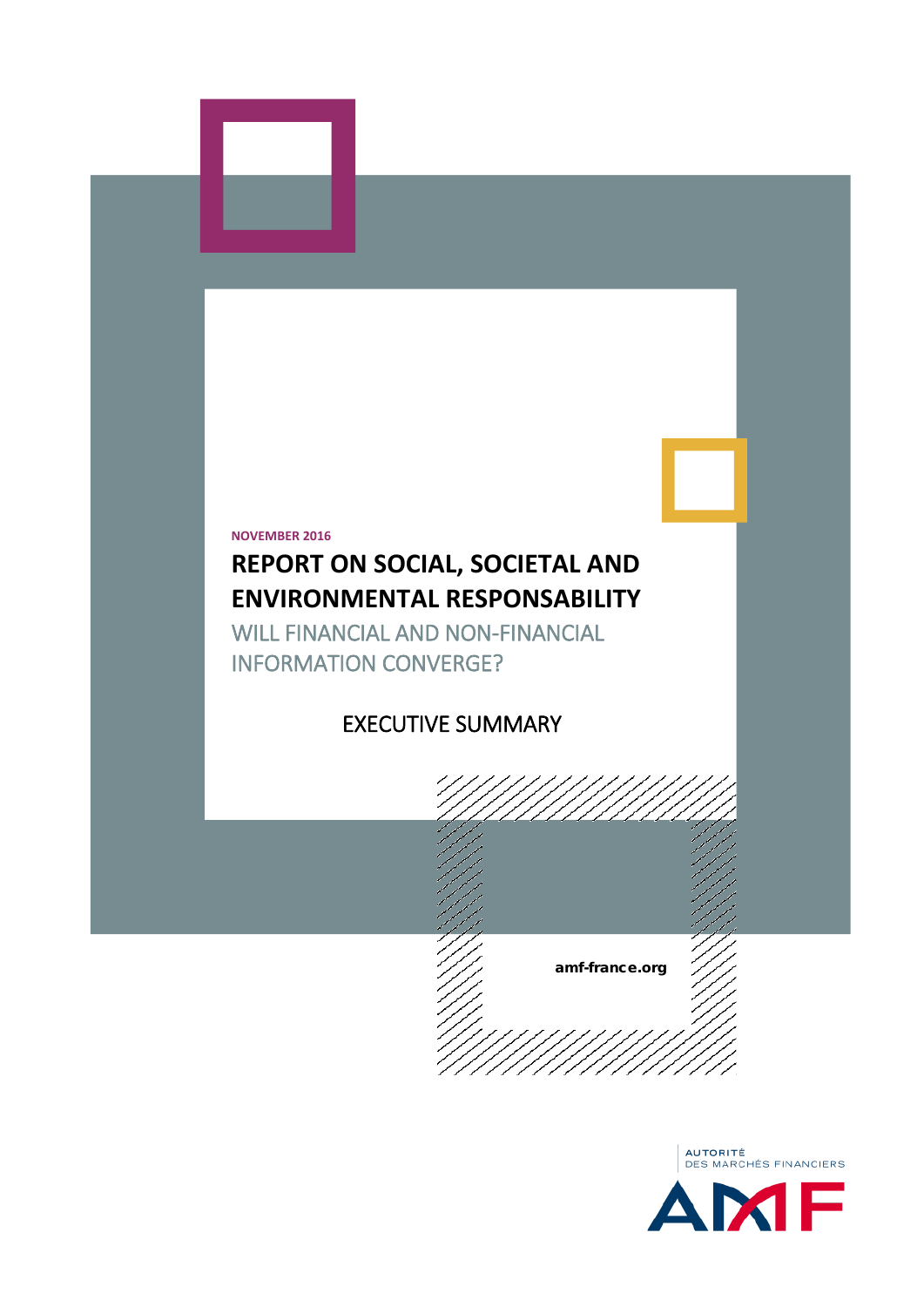# **NOVEMBER 2016 REPORT ON SOCIAL, SOCIETAL AND ENVIRONMENTAL RESPONSABILITY** WILL FINANCIAL AND NON-FINANCIAL INFORMATION CONVERGE? EXECUTIVE SUMMARY amf-france.org

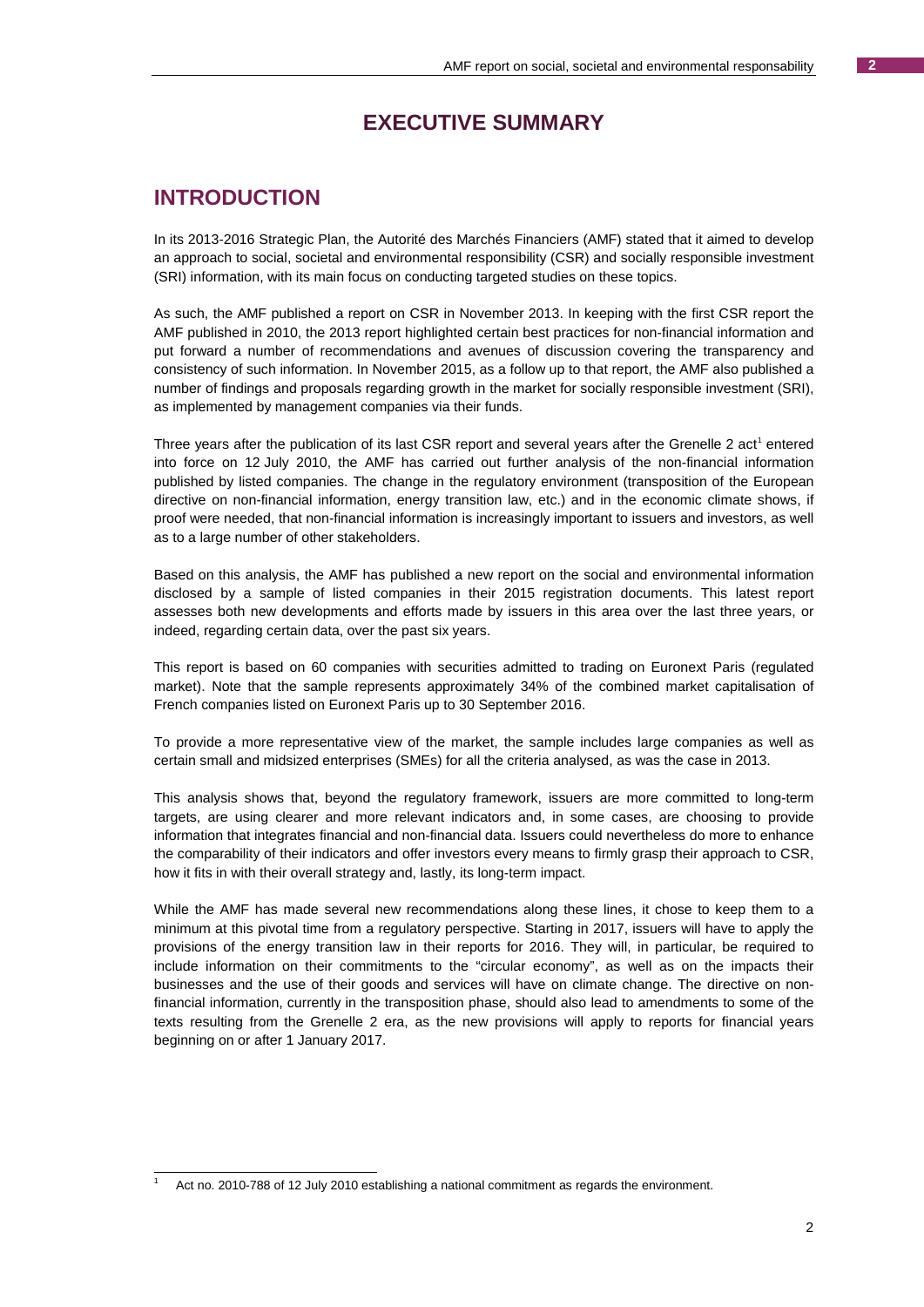# **EXECUTIVE SUMMARY**

# **INTRODUCTION**

In its 2013-2016 Strategic Plan, the Autorité des Marchés Financiers (AMF) stated that it aimed to develop an approach to social, societal and environmental responsibility (CSR) and socially responsible investment (SRI) information, with its main focus on conducting targeted studies on these topics.

As such, the AMF published a report on CSR in November 2013. In keeping with the first CSR report the AMF published in 2010, the 2013 report highlighted certain best practices for non-financial information and put forward a number of recommendations and avenues of discussion covering the transparency and consistency of such information. In November 2015, as a follow up to that report, the AMF also published a number of findings and proposals regarding growth in the market for socially responsible investment (SRI), as implemented by management companies via their funds.

Three years after the publication of its last CSR report and several years after the Grenelle 2 act<sup>[1](#page-1-0)</sup> entered into force on 12 July 2010, the AMF has carried out further analysis of the non-financial information published by listed companies. The change in the regulatory environment (transposition of the European directive on non-financial information, energy transition law, etc.) and in the economic climate shows, if proof were needed, that non-financial information is increasingly important to issuers and investors, as well as to a large number of other stakeholders.

Based on this analysis, the AMF has published a new report on the social and environmental information disclosed by a sample of listed companies in their 2015 registration documents. This latest report assesses both new developments and efforts made by issuers in this area over the last three years, or indeed, regarding certain data, over the past six years.

This report is based on 60 companies with securities admitted to trading on Euronext Paris (regulated market). Note that the sample represents approximately 34% of the combined market capitalisation of French companies listed on Euronext Paris up to 30 September 2016.

To provide a more representative view of the market, the sample includes large companies as well as certain small and midsized enterprises (SMEs) for all the criteria analysed, as was the case in 2013.

This analysis shows that, beyond the regulatory framework, issuers are more committed to long-term targets, are using clearer and more relevant indicators and, in some cases, are choosing to provide information that integrates financial and non-financial data. Issuers could nevertheless do more to enhance the comparability of their indicators and offer investors every means to firmly grasp their approach to CSR, how it fits in with their overall strategy and, lastly, its long-term impact.

While the AMF has made several new recommendations along these lines, it chose to keep them to a minimum at this pivotal time from a regulatory perspective. Starting in 2017, issuers will have to apply the provisions of the energy transition law in their reports for 2016. They will, in particular, be required to include information on their commitments to the "circular economy", as well as on the impacts their businesses and the use of their goods and services will have on climate change. The directive on nonfinancial information, currently in the transposition phase, should also lead to amendments to some of the texts resulting from the Grenelle 2 era, as the new provisions will apply to reports for financial years beginning on or after 1 January 2017.

<span id="page-1-0"></span> <sup>1</sup> Act no. 2010-788 of 12 July 2010 establishing a national commitment as regards the environment.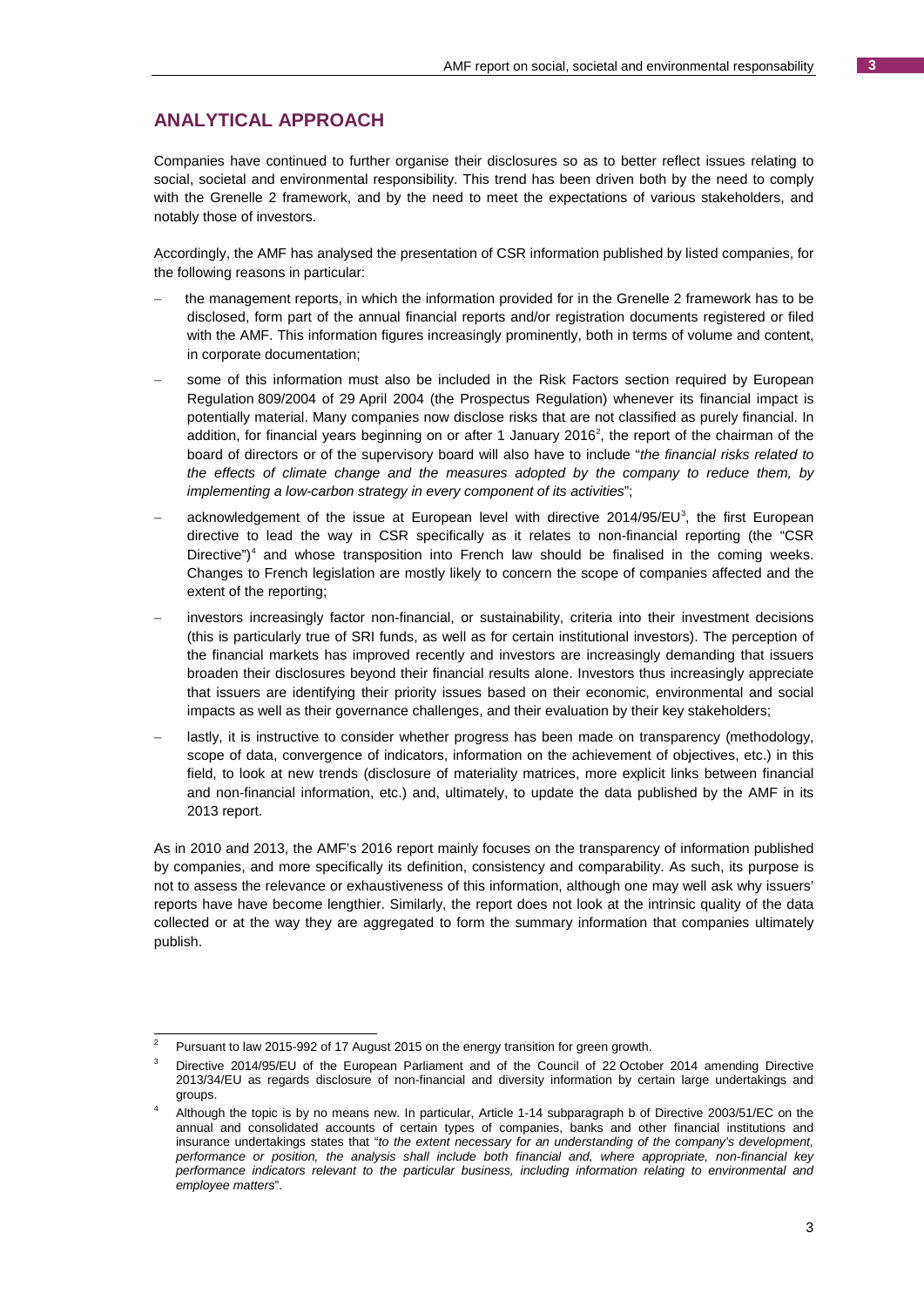# **ANALYTICAL APPROACH**

Companies have continued to further organise their disclosures so as to better reflect issues relating to social, societal and environmental responsibility. This trend has been driven both by the need to comply with the Grenelle 2 framework, and by the need to meet the expectations of various stakeholders, and notably those of investors.

Accordingly, the AMF has analysed the presentation of CSR information published by listed companies, for the following reasons in particular:

- the management reports, in which the information provided for in the Grenelle 2 framework has to be disclosed, form part of the annual financial reports and/or registration documents registered or filed with the AMF. This information figures increasingly prominently, both in terms of volume and content, in corporate documentation;
- some of this information must also be included in the Risk Factors section required by European Regulation 809/2004 of 29 April 2004 (the Prospectus Regulation) whenever its financial impact is potentially material. Many companies now disclose risks that are not classified as purely financial. In addition, for financial years beginning on or after 1 January [2](#page-2-0)016<sup>2</sup>, the report of the chairman of the board of directors or of the supervisory board will also have to include "*the financial risks related to the effects of climate change and the measures adopted by the company to reduce them, by implementing a low-carbon strategy in every component of its activities*";
- − acknowledgement of the issue at European level with directive 2014/95/EU[3](#page-2-1) , the first European directive to lead the way in CSR specifically as it relates to non-financial reporting (the "CSR Directive")<sup>[4](#page-2-2)</sup> and whose transposition into French law should be finalised in the coming weeks. Changes to French legislation are mostly likely to concern the scope of companies affected and the extent of the reporting;
- investors increasingly factor non-financial, or sustainability, criteria into their investment decisions (this is particularly true of SRI funds, as well as for certain institutional investors). The perception of the financial markets has improved recently and investors are increasingly demanding that issuers broaden their disclosures beyond their financial results alone. Investors thus increasingly appreciate that issuers are identifying their priority issues based on their economic, environmental and social impacts as well as their governance challenges, and their evaluation by their key stakeholders;
- lastly, it is instructive to consider whether progress has been made on transparency (methodology, scope of data, convergence of indicators, information on the achievement of objectives, etc.) in this field, to look at new trends (disclosure of materiality matrices, more explicit links between financial and non-financial information, etc.) and, ultimately, to update the data published by the AMF in its 2013 report.

As in 2010 and 2013, the AMF's 2016 report mainly focuses on the transparency of information published by companies, and more specifically its definition, consistency and comparability. As such, its purpose is not to assess the relevance or exhaustiveness of this information, although one may well ask why issuers' reports have have become lengthier. Similarly, the report does not look at the intrinsic quality of the data collected or at the way they are aggregated to form the summary information that companies ultimately publish.

<span id="page-2-0"></span> <sup>2</sup> Pursuant to law 2015-992 of 17 August 2015 on the energy transition for green growth.

<span id="page-2-1"></span>Directive 2014/95/EU of the European Parliament and of the Council of 22 October 2014 amending Directive 2013/34/EU as regards disclosure of non-financial and diversity information by certain large undertakings and groups.

<span id="page-2-2"></span><sup>4</sup> Although the topic is by no means new. In particular, Article 1-14 subparagraph b of Directive 2003/51/EC on the annual and consolidated accounts of certain types of companies, banks and other financial institutions and insurance undertakings states that "*to the extent necessary for an understanding of the company's development, performance or position, the analysis shall include both financial and, where appropriate, non-financial key performance indicators relevant to the particular business, including information relating to environmental and employee matters*".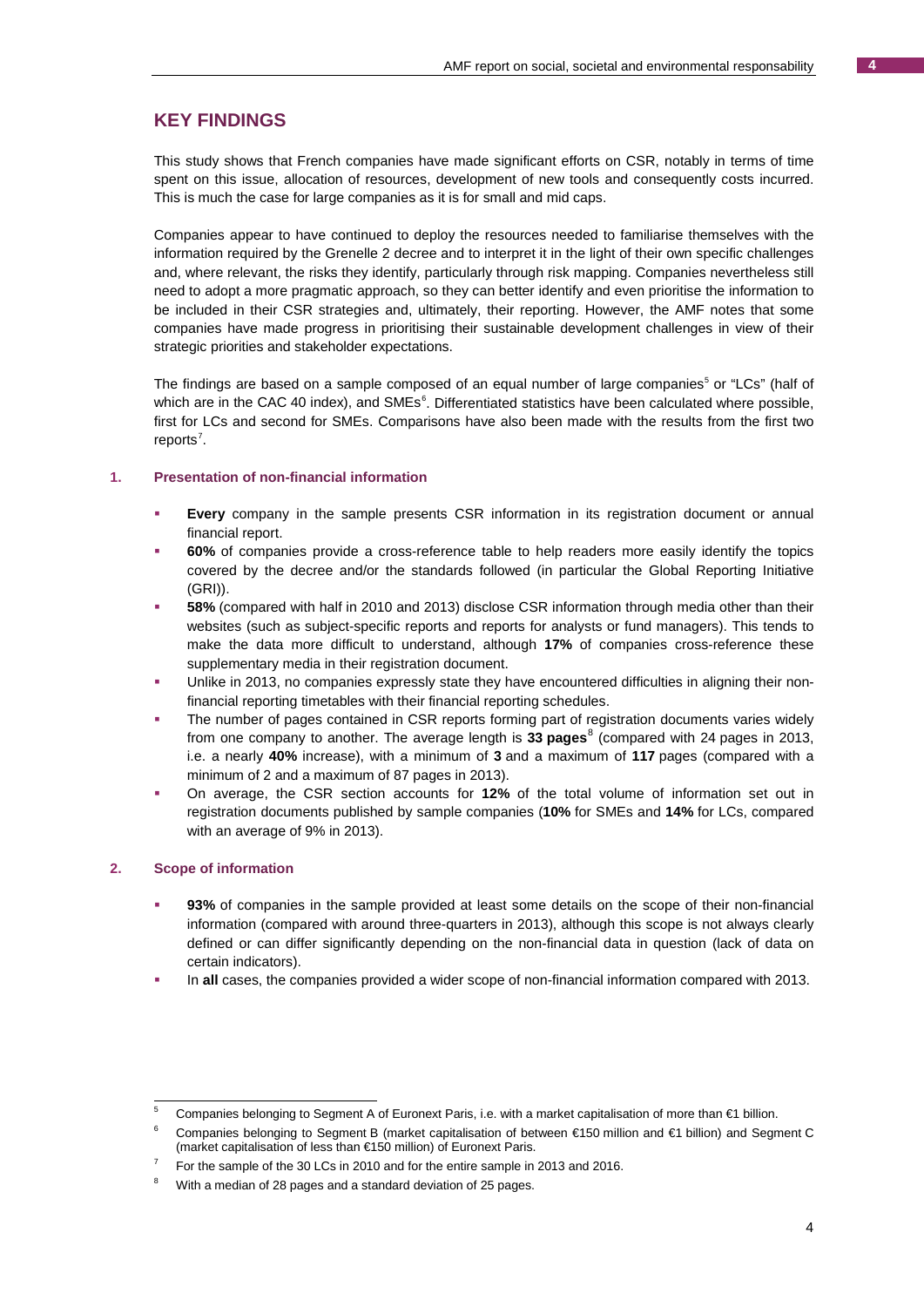# **KEY FINDINGS**

This study shows that French companies have made significant efforts on CSR, notably in terms of time spent on this issue, allocation of resources, development of new tools and consequently costs incurred. This is much the case for large companies as it is for small and mid caps.

Companies appear to have continued to deploy the resources needed to familiarise themselves with the information required by the Grenelle 2 decree and to interpret it in the light of their own specific challenges and, where relevant, the risks they identify, particularly through risk mapping. Companies nevertheless still need to adopt a more pragmatic approach, so they can better identify and even prioritise the information to be included in their CSR strategies and, ultimately, their reporting. However, the AMF notes that some companies have made progress in prioritising their sustainable development challenges in view of their strategic priorities and stakeholder expectations.

The findings are based on a sample composed of an equal number of large companies<sup>[5](#page-3-0)</sup> or "LCs" (half of which are in the CAC 40 index), and SMEs<sup>[6](#page-3-1)</sup>. Differentiated statistics have been calculated where possible, first for LCs and second for SMEs. Comparisons have also been made with the results from the first two reports<sup>[7](#page-3-2)</sup>.

#### **1. Presentation of non-financial information**

- **Every** company in the sample presents CSR information in its registration document or annual financial report.
- **60%** of companies provide a cross-reference table to help readers more easily identify the topics covered by the decree and/or the standards followed (in particular the Global Reporting Initiative (GRI)).
- **58%** (compared with half in 2010 and 2013) disclose CSR information through media other than their websites (such as subject-specific reports and reports for analysts or fund managers). This tends to make the data more difficult to understand, although **17%** of companies cross-reference these supplementary media in their registration document.
- Unlike in 2013, no companies expressly state they have encountered difficulties in aligning their nonfinancial reporting timetables with their financial reporting schedules.
- The number of pages contained in CSR reports forming part of registration documents varies widely from one company to another. The average length is 33 pages<sup>[8](#page-3-3)</sup> (compared with 24 pages in 2013, i.e. a nearly **40%** increase), with a minimum of **3** and a maximum of **117** pages (compared with a minimum of 2 and a maximum of 87 pages in 2013).
- On average, the CSR section accounts for **12%** of the total volume of information set out in registration documents published by sample companies (**10%** for SMEs and **14%** for LCs, compared with an average of 9% in 2013).

# **2. Scope of information**

- **93%** of companies in the sample provided at least some details on the scope of their non-financial information (compared with around three-quarters in 2013), although this scope is not always clearly defined or can differ significantly depending on the non-financial data in question (lack of data on certain indicators).
- In **all** cases, the companies provided a wider scope of non-financial information compared with 2013.

<span id="page-3-0"></span>Companies belonging to Segment A of Euronext Paris, i.e. with a market capitalisation of more than €1 billion.

<span id="page-3-1"></span><sup>6</sup> Companies belonging to Segment B (market capitalisation of between €150 million and €1 billion) and Segment C (market capitalisation of less than €150 million) of Euronext Paris.

<span id="page-3-2"></span><sup>7</sup> For the sample of the 30 LCs in 2010 and for the entire sample in 2013 and 2016.

<span id="page-3-3"></span>With a median of 28 pages and a standard deviation of 25 pages.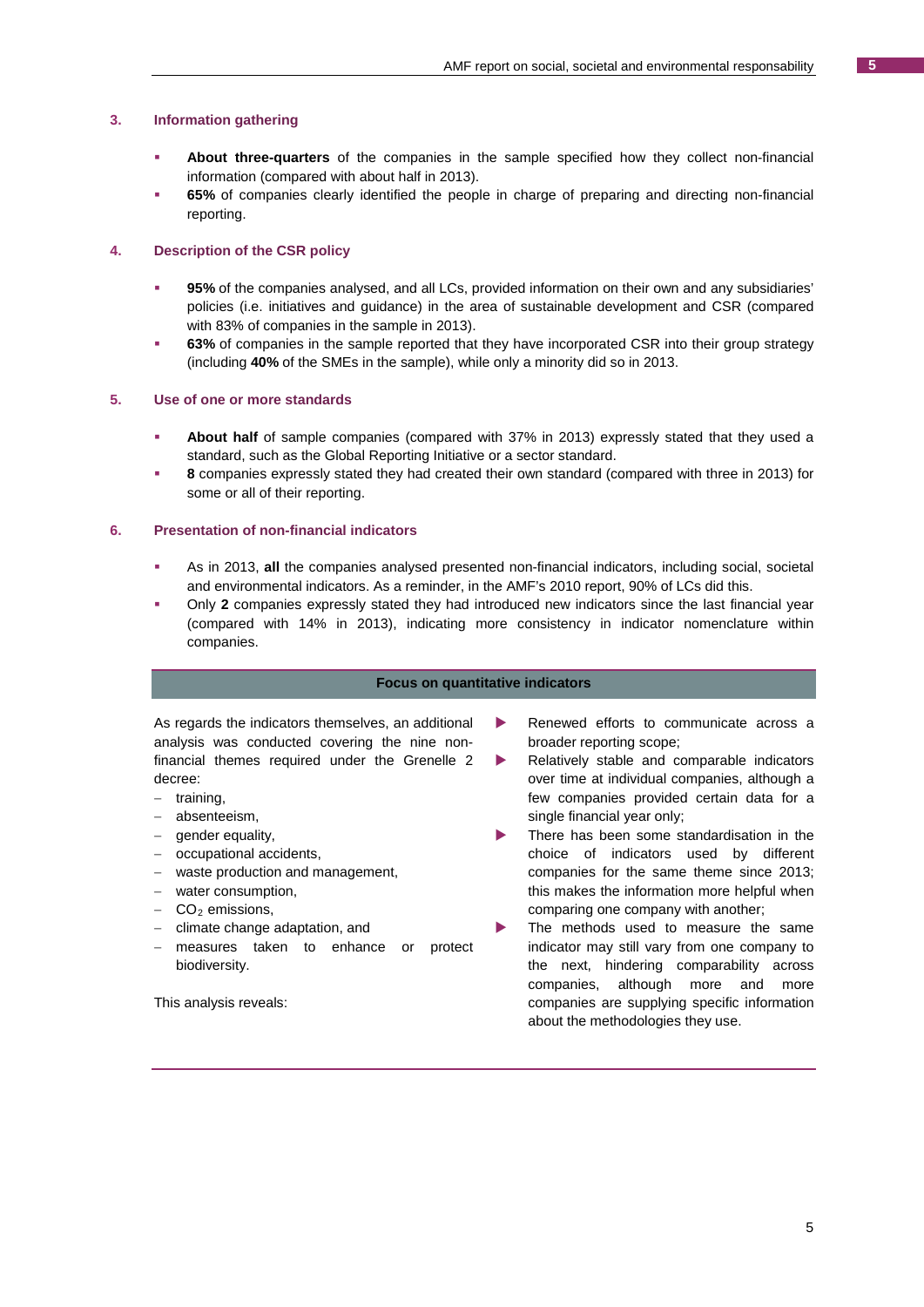# **3. Information gathering**

- **About three-quarters** of the companies in the sample specified how they collect non-financial information (compared with about half in 2013).
- **65%** of companies clearly identified the people in charge of preparing and directing non-financial reporting.

# **4. Description of the CSR policy**

- **95%** of the companies analysed, and all LCs, provided information on their own and any subsidiaries' policies (i.e. initiatives and guidance) in the area of sustainable development and CSR (compared with 83% of companies in the sample in 2013).
- **63%** of companies in the sample reported that they have incorporated CSR into their group strategy (including **40%** of the SMEs in the sample), while only a minority did so in 2013.

# **5. Use of one or more standards**

- **About half** of sample companies (compared with 37% in 2013) expressly stated that they used a standard, such as the Global Reporting Initiative or a sector standard.
- **8** companies expressly stated they had created their own standard (compared with three in 2013) for some or all of their reporting.

#### **6. Presentation of non-financial indicators**

- As in 2013, **all** the companies analysed presented non-financial indicators, including social, societal and environmental indicators. As a reminder, in the AMF's 2010 report, 90% of LCs did this.
- Only **2** companies expressly stated they had introduced new indicators since the last financial year (compared with 14% in 2013), indicating more consistency in indicator nomenclature within companies.

#### **Focus on quantitative indicators**

As regards the indicators themselves, an additional analysis was conducted covering the nine nonfinancial themes required under the Grenelle 2 decree:

- − training,
- − absenteeism,
- − gender equality,
- − occupational accidents,
- waste production and management,
- − water consumption,
- − CO2 emissions,
- − climate change adaptation, and
- − measures taken to enhance or protect biodiversity.

This analysis reveals:

**Renewed efforts to communicate across a** broader reporting scope;

Relatively stable and comparable indicators over time at individual companies, although a few companies provided certain data for a single financial year only;

- There has been some standardisation in the choice of indicators used by different companies for the same theme since 2013; this makes the information more helpful when comparing one company with another;
- The methods used to measure the same indicator may still vary from one company to the next, hindering comparability across companies, although more and more companies are supplying specific information about the methodologies they use.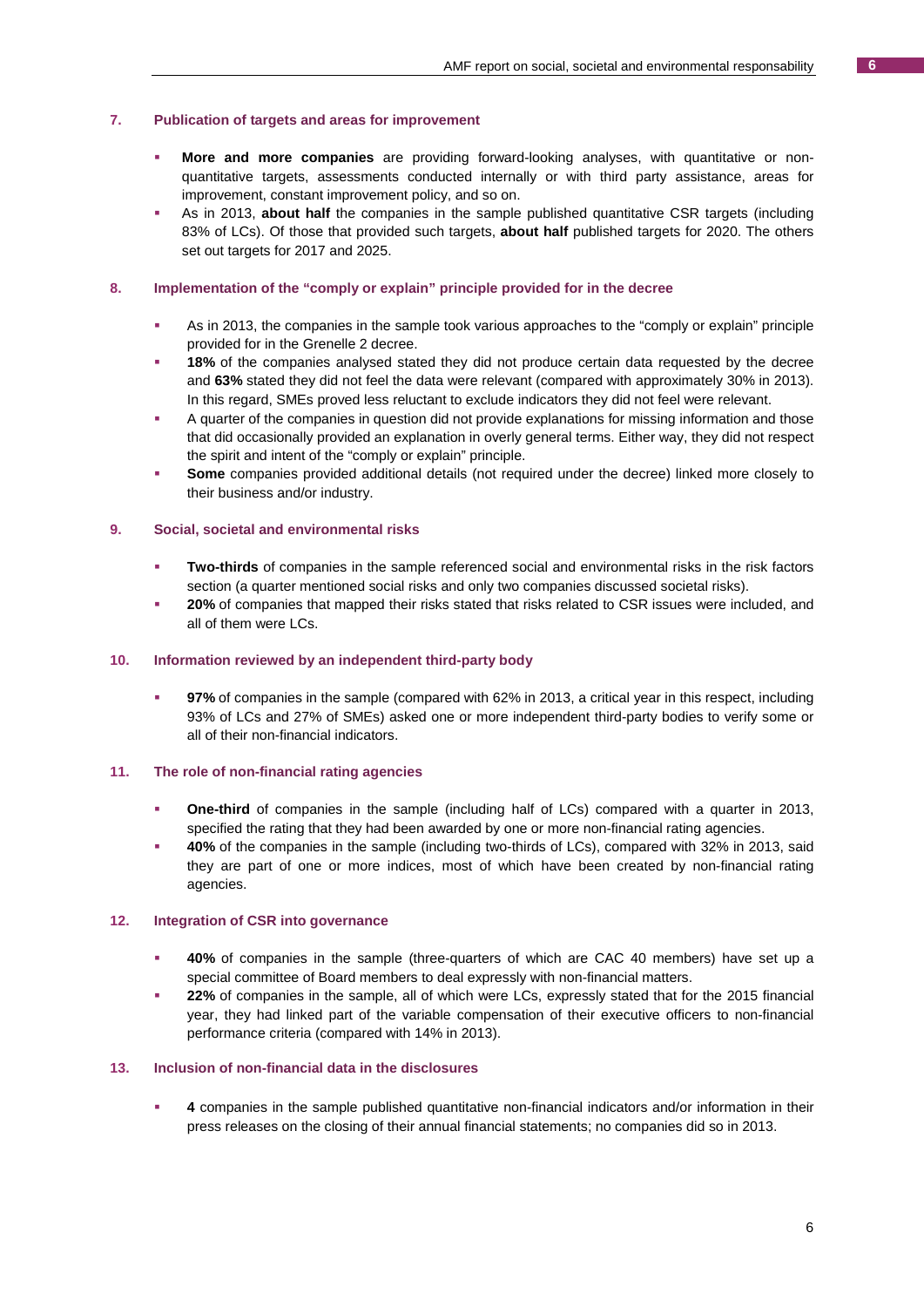# **7. Publication of targets and areas for improvement**

- **More and more companies** are providing forward-looking analyses, with quantitative or nonquantitative targets, assessments conducted internally or with third party assistance, areas for improvement, constant improvement policy, and so on.
- As in 2013, **about half** the companies in the sample published quantitative CSR targets (including 83% of LCs). Of those that provided such targets, **about half** published targets for 2020. The others set out targets for 2017 and 2025.

# **8. Implementation of the "comply or explain" principle provided for in the decree**

- As in 2013, the companies in the sample took various approaches to the "comply or explain" principle provided for in the Grenelle 2 decree.
- **18%** of the companies analysed stated they did not produce certain data requested by the decree and **63%** stated they did not feel the data were relevant (compared with approximately 30% in 2013). In this regard, SMEs proved less reluctant to exclude indicators they did not feel were relevant.
- A quarter of the companies in question did not provide explanations for missing information and those that did occasionally provided an explanation in overly general terms. Either way, they did not respect the spirit and intent of the "comply or explain" principle.
- **Some** companies provided additional details (not required under the decree) linked more closely to their business and/or industry.

# **9. Social, societal and environmental risks**

- **Two-thirds** of companies in the sample referenced social and environmental risks in the risk factors section (a quarter mentioned social risks and only two companies discussed societal risks).
- **20%** of companies that mapped their risks stated that risks related to CSR issues were included, and all of them were LCs.

#### **10. Information reviewed by an independent third-party body**

**97%** of companies in the sample (compared with 62% in 2013, a critical year in this respect, including 93% of LCs and 27% of SMEs) asked one or more independent third-party bodies to verify some or all of their non-financial indicators.

# **11. The role of non-financial rating agencies**

- **One-third** of companies in the sample (including half of LCs) compared with a quarter in 2013, specified the rating that they had been awarded by one or more non-financial rating agencies.
- **40%** of the companies in the sample (including two-thirds of LCs), compared with 32% in 2013, said they are part of one or more indices, most of which have been created by non-financial rating agencies.

# **12. Integration of CSR into governance**

- **40%** of companies in the sample (three-quarters of which are CAC 40 members) have set up a special committee of Board members to deal expressly with non-financial matters.
- **22%** of companies in the sample, all of which were LCs, expressly stated that for the 2015 financial year, they had linked part of the variable compensation of their executive officers to non-financial performance criteria (compared with 14% in 2013).

# **13. Inclusion of non-financial data in the disclosures**

 **4** companies in the sample published quantitative non-financial indicators and/or information in their press releases on the closing of their annual financial statements; no companies did so in 2013.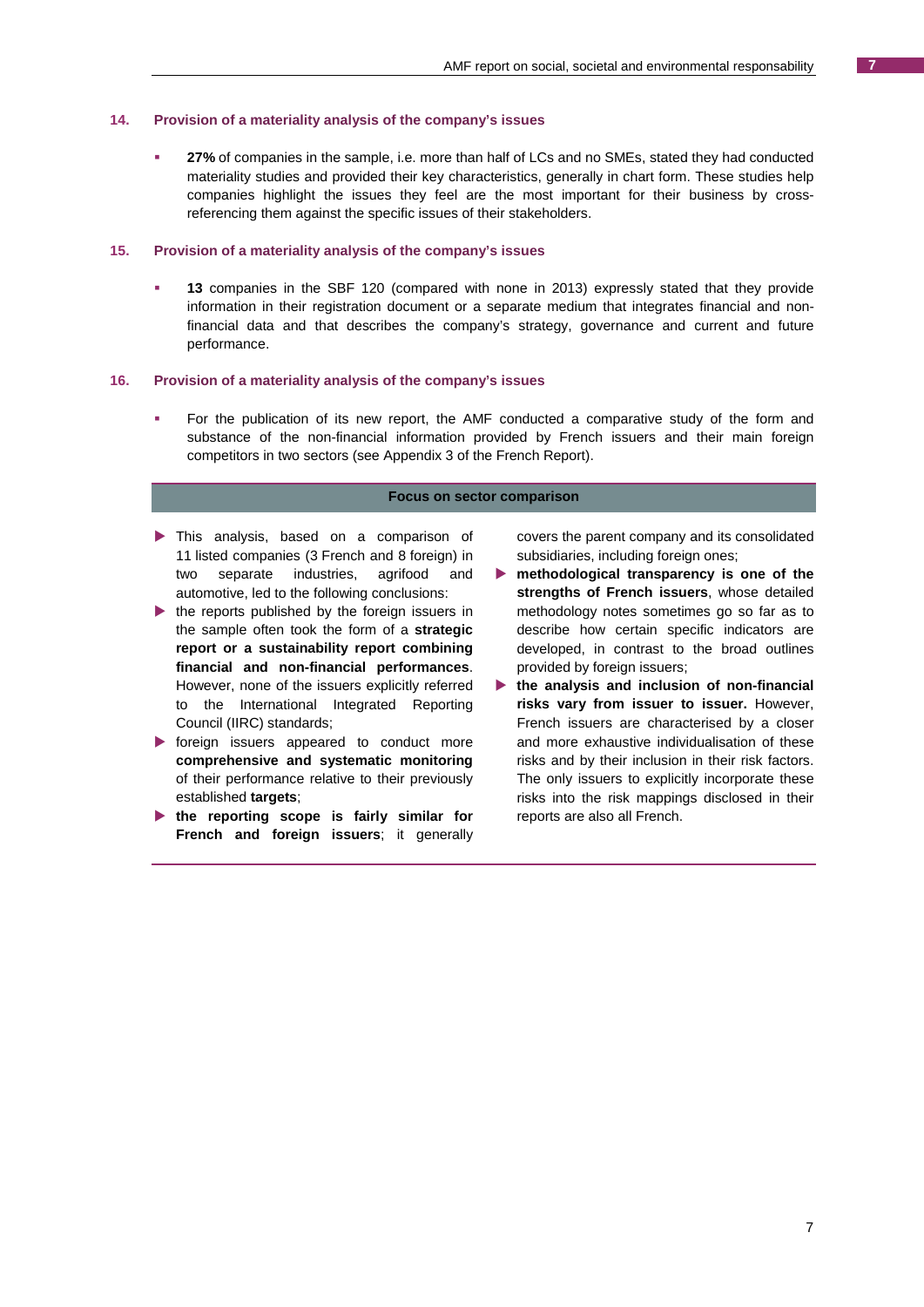#### **14. Provision of a materiality analysis of the company's issues**

 **27%** of companies in the sample, i.e. more than half of LCs and no SMEs, stated they had conducted materiality studies and provided their key characteristics, generally in chart form. These studies help companies highlight the issues they feel are the most important for their business by crossreferencing them against the specific issues of their stakeholders.

# **15. Provision of a materiality analysis of the company's issues**

 **13** companies in the SBF 120 (compared with none in 2013) expressly stated that they provide information in their registration document or a separate medium that integrates financial and nonfinancial data and that describes the company's strategy, governance and current and future performance.

#### **16. Provision of a materiality analysis of the company's issues**

 For the publication of its new report, the AMF conducted a comparative study of the form and substance of the non-financial information provided by French issuers and their main foreign competitors in two sectors (see Appendix 3 of the French Report).

#### **Focus on sector comparison**

- This analysis, based on a comparison of 11 listed companies (3 French and 8 foreign) in two separate industries, agrifood and automotive, led to the following conclusions:
- $\blacktriangleright$  the reports published by the foreign issuers in the sample often took the form of a **strategic report or a sustainability report combining financial and non-financial performances**. However, none of the issuers explicitly referred to the International Integrated Reporting Council (IIRC) standards;
- **Foreign issuers appeared to conduct more comprehensive and systematic monitoring** of their performance relative to their previously established **targets**;
- **the reporting scope is fairly similar for French and foreign issuers**; it generally

covers the parent company and its consolidated subsidiaries, including foreign ones;

- **methodological transparency is one of the strengths of French issuers**, whose detailed methodology notes sometimes go so far as to describe how certain specific indicators are developed, in contrast to the broad outlines provided by foreign issuers;
- **the analysis and inclusion of non-financial risks vary from issuer to issuer.** However, French issuers are characterised by a closer and more exhaustive individualisation of these risks and by their inclusion in their risk factors. The only issuers to explicitly incorporate these risks into the risk mappings disclosed in their reports are also all French.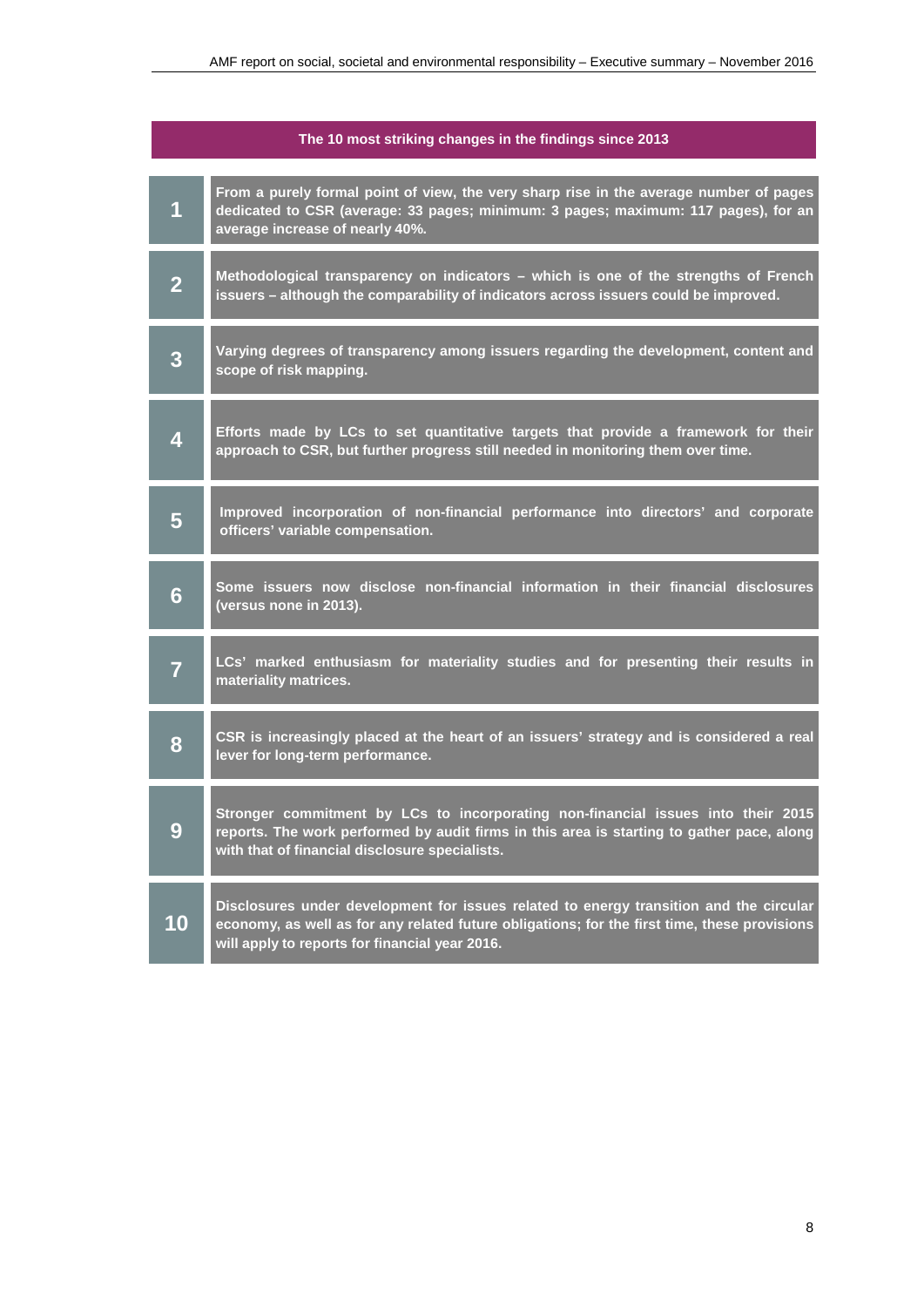| The 10 most striking changes in the findings since 2013 |                                                                                                                                                                                                                                          |
|---------------------------------------------------------|------------------------------------------------------------------------------------------------------------------------------------------------------------------------------------------------------------------------------------------|
| $\overline{1}$                                          | From a purely formal point of view, the very sharp rise in the average number of pages<br>dedicated to CSR (average: 33 pages; minimum: 3 pages; maximum: 117 pages), for an<br>average increase of nearly 40%.                          |
| $\overline{2}$                                          | Methodological transparency on indicators - which is one of the strengths of French<br>issuers - although the comparability of indicators across issuers could be improved.                                                              |
| $\overline{\mathbf{3}}$                                 | Varying degrees of transparency among issuers regarding the development, content and<br>scope of risk mapping.                                                                                                                           |
| $\overline{\mathbf{4}}$                                 | Efforts made by LCs to set quantitative targets that provide a framework for their<br>approach to CSR, but further progress still needed in monitoring them over time.                                                                   |
| 5                                                       | Improved incorporation of non-financial performance into directors' and corporate<br>officers' variable compensation.                                                                                                                    |
| $6\phantom{1}6$                                         | Some issuers now disclose non-financial information in their financial disclosures<br>(versus none in 2013).                                                                                                                             |
| $\overline{7}$                                          | LCs' marked enthusiasm for materiality studies and for presenting their results in<br>materiality matrices.                                                                                                                              |
| 8                                                       | CSR is increasingly placed at the heart of an issuers' strategy and is considered a real<br>lever for long-term performance.                                                                                                             |
| 9                                                       | Stronger commitment by LCs to incorporating non-financial issues into their 2015<br>reports. The work performed by audit firms in this area is starting to gather pace, along<br>with that of financial disclosure specialists.          |
| 10                                                      | Disclosures under development for issues related to energy transition and the circular<br>economy, as well as for any related future obligations; for the first time, these provisions<br>will apply to reports for financial year 2016. |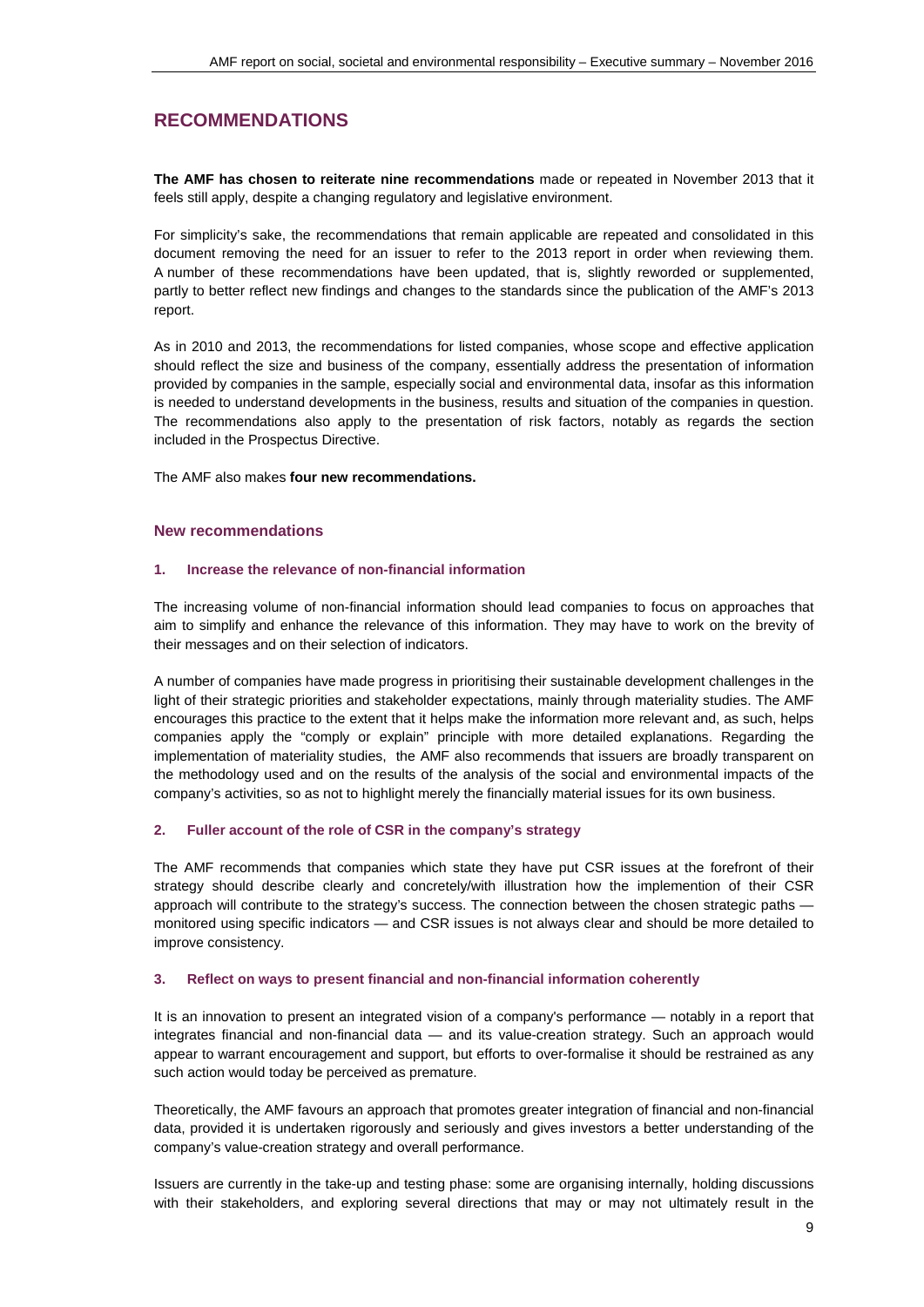# **RECOMMENDATIONS**

**The AMF has chosen to reiterate nine recommendations** made or repeated in November 2013 that it feels still apply, despite a changing regulatory and legislative environment.

For simplicity's sake, the recommendations that remain applicable are repeated and consolidated in this document removing the need for an issuer to refer to the 2013 report in order when reviewing them. A number of these recommendations have been updated, that is, slightly reworded or supplemented, partly to better reflect new findings and changes to the standards since the publication of the AMF's 2013 report.

As in 2010 and 2013, the recommendations for listed companies, whose scope and effective application should reflect the size and business of the company, essentially address the presentation of information provided by companies in the sample, especially social and environmental data, insofar as this information is needed to understand developments in the business, results and situation of the companies in question. The recommendations also apply to the presentation of risk factors, notably as regards the section included in the Prospectus Directive.

The AMF also makes **four new recommendations.**

# **New recommendations**

# **1. Increase the relevance of non-financial information**

The increasing volume of non-financial information should lead companies to focus on approaches that aim to simplify and enhance the relevance of this information. They may have to work on the brevity of their messages and on their selection of indicators.

A number of companies have made progress in prioritising their sustainable development challenges in the light of their strategic priorities and stakeholder expectations, mainly through materiality studies. The AMF encourages this practice to the extent that it helps make the information more relevant and, as such, helps companies apply the "comply or explain" principle with more detailed explanations. Regarding the implementation of materiality studies, the AMF also recommends that issuers are broadly transparent on the methodology used and on the results of the analysis of the social and environmental impacts of the company's activities, so as not to highlight merely the financially material issues for its own business.

# **2. Fuller account of the role of CSR in the company's strategy**

The AMF recommends that companies which state they have put CSR issues at the forefront of their strategy should describe clearly and concretely/with illustration how the implemention of their CSR approach will contribute to the strategy's success. The connection between the chosen strategic paths monitored using specific indicators — and CSR issues is not always clear and should be more detailed to improve consistency.

# **3. Reflect on ways to present financial and non-financial information coherently**

It is an innovation to present an integrated vision of a company's performance — notably in a report that integrates financial and non-financial data — and its value-creation strategy. Such an approach would appear to warrant encouragement and support, but efforts to over-formalise it should be restrained as any such action would today be perceived as premature.

Theoretically, the AMF favours an approach that promotes greater integration of financial and non-financial data, provided it is undertaken rigorously and seriously and gives investors a better understanding of the company's value-creation strategy and overall performance.

Issuers are currently in the take-up and testing phase: some are organising internally, holding discussions with their stakeholders, and exploring several directions that may or may not ultimately result in the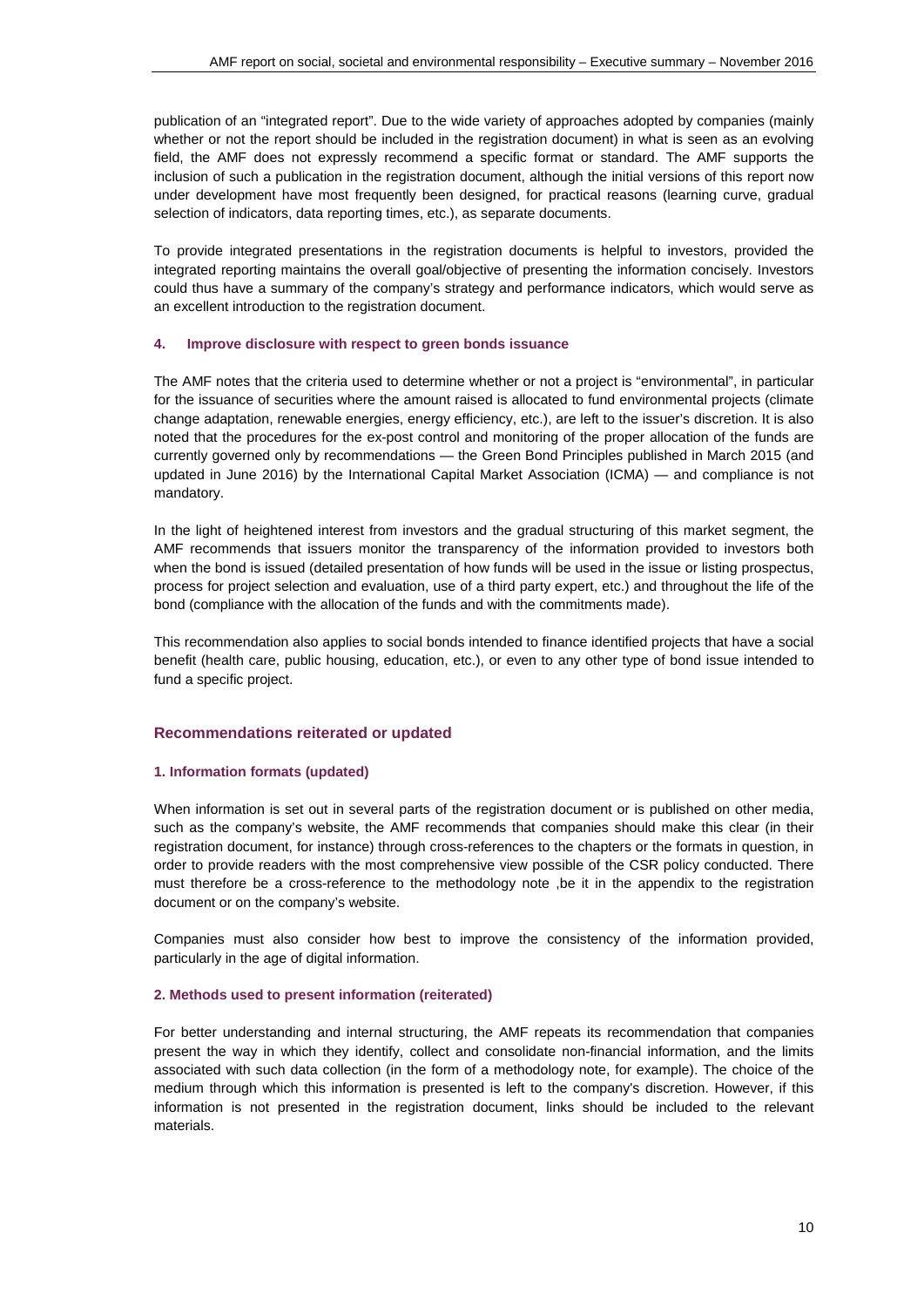publication of an "integrated report". Due to the wide variety of approaches adopted by companies (mainly whether or not the report should be included in the registration document) in what is seen as an evolving field, the AMF does not expressly recommend a specific format or standard. The AMF supports the inclusion of such a publication in the registration document, although the initial versions of this report now under development have most frequently been designed, for practical reasons (learning curve, gradual selection of indicators, data reporting times, etc.), as separate documents.

To provide integrated presentations in the registration documents is helpful to investors, provided the integrated reporting maintains the overall goal/objective of presenting the information concisely. Investors could thus have a summary of the company's strategy and performance indicators, which would serve as an excellent introduction to the registration document.

# **4. Improve disclosure with respect to green bonds issuance**

The AMF notes that the criteria used to determine whether or not a project is "environmental", in particular for the issuance of securities where the amount raised is allocated to fund environmental projects (climate change adaptation, renewable energies, energy efficiency, etc.), are left to the issuer's discretion. It is also noted that the procedures for the ex-post control and monitoring of the proper allocation of the funds are currently governed only by recommendations — the Green Bond Principles published in March 2015 (and updated in June 2016) by the International Capital Market Association (ICMA) — and compliance is not mandatory.

In the light of heightened interest from investors and the gradual structuring of this market segment, the AMF recommends that issuers monitor the transparency of the information provided to investors both when the bond is issued (detailed presentation of how funds will be used in the issue or listing prospectus, process for project selection and evaluation, use of a third party expert, etc.) and throughout the life of the bond (compliance with the allocation of the funds and with the commitments made).

This recommendation also applies to social bonds intended to finance identified projects that have a social benefit (health care, public housing, education, etc.), or even to any other type of bond issue intended to fund a specific project.

# **Recommendations reiterated or updated**

# **1. Information formats (updated)**

When information is set out in several parts of the registration document or is published on other media, such as the company's website, the AMF recommends that companies should make this clear (in their registration document, for instance) through cross-references to the chapters or the formats in question, in order to provide readers with the most comprehensive view possible of the CSR policy conducted. There must therefore be a cross-reference to the methodology note ,be it in the appendix to the registration document or on the company's website.

Companies must also consider how best to improve the consistency of the information provided, particularly in the age of digital information.

# **2. Methods used to present information (reiterated)**

For better understanding and internal structuring, the AMF repeats its recommendation that companies present the way in which they identify, collect and consolidate non-financial information, and the limits associated with such data collection (in the form of a methodology note, for example). The choice of the medium through which this information is presented is left to the company's discretion. However, if this information is not presented in the registration document, links should be included to the relevant materials.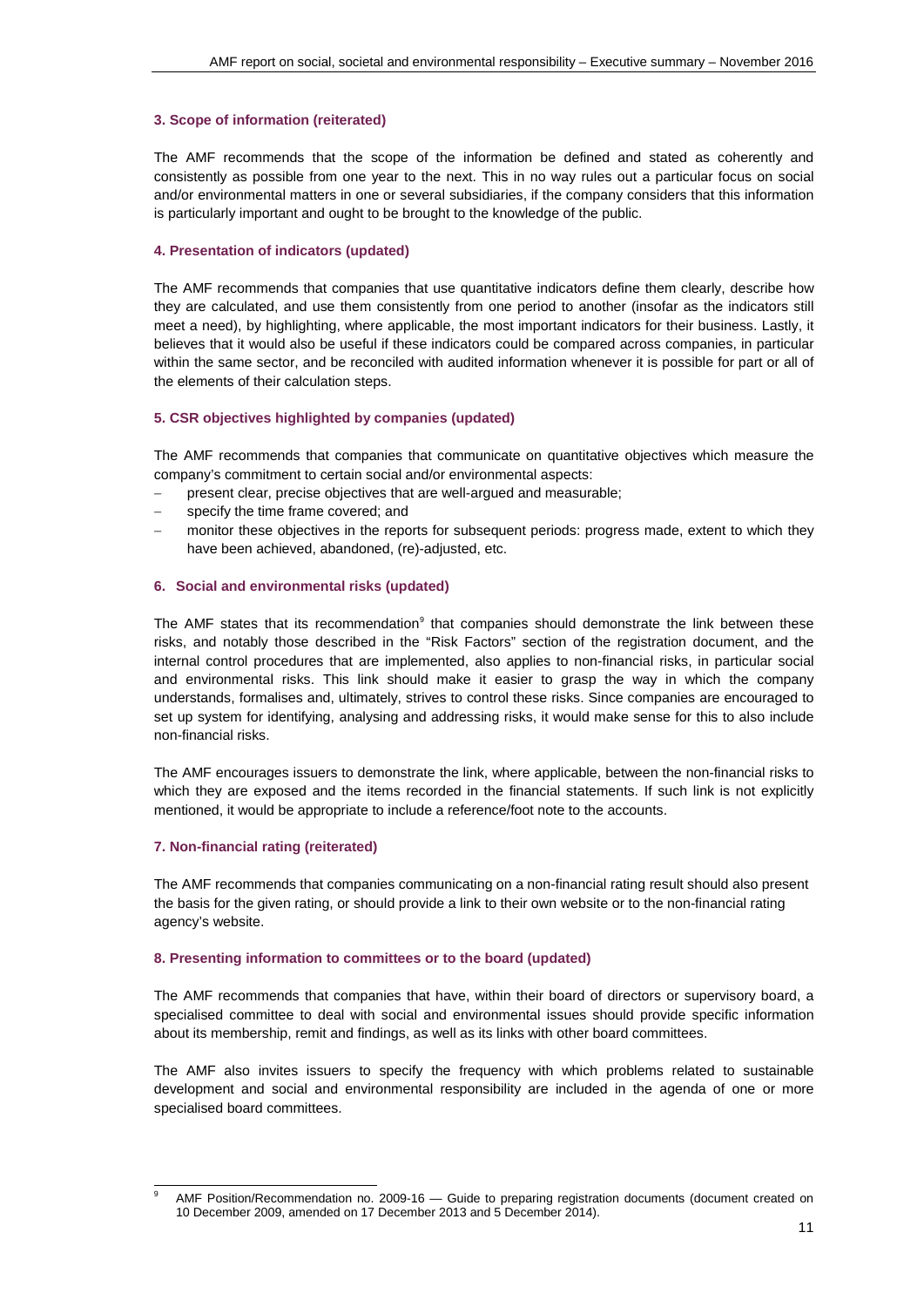# **3. Scope of information (reiterated)**

The AMF recommends that the scope of the information be defined and stated as coherently and consistently as possible from one year to the next. This in no way rules out a particular focus on social and/or environmental matters in one or several subsidiaries, if the company considers that this information is particularly important and ought to be brought to the knowledge of the public.

# **4. Presentation of indicators (updated)**

The AMF recommends that companies that use quantitative indicators define them clearly, describe how they are calculated, and use them consistently from one period to another (insofar as the indicators still meet a need), by highlighting, where applicable, the most important indicators for their business. Lastly, it believes that it would also be useful if these indicators could be compared across companies, in particular within the same sector, and be reconciled with audited information whenever it is possible for part or all of the elements of their calculation steps.

# **5. CSR objectives highlighted by companies (updated)**

The AMF recommends that companies that communicate on quantitative objectives which measure the company's commitment to certain social and/or environmental aspects:

- present clear, precise objectives that are well-argued and measurable;
- specify the time frame covered; and
- monitor these objectives in the reports for subsequent periods: progress made, extent to which they have been achieved, abandoned, (re)-adjusted, etc.

# **6. Social and environmental risks (updated)**

The AMF states that its recommendation<sup>[9](#page-10-0)</sup> that companies should demonstrate the link between these risks, and notably those described in the "Risk Factors" section of the registration document, and the internal control procedures that are implemented, also applies to non-financial risks, in particular social and environmental risks. This link should make it easier to grasp the way in which the company understands, formalises and, ultimately, strives to control these risks. Since companies are encouraged to set up system for identifying, analysing and addressing risks, it would make sense for this to also include non-financial risks.

The AMF encourages issuers to demonstrate the link, where applicable, between the non-financial risks to which they are exposed and the items recorded in the financial statements. If such link is not explicitly mentioned, it would be appropriate to include a reference/foot note to the accounts.

# **7. Non-financial rating (reiterated)**

The AMF recommends that companies communicating on a non-financial rating result should also present the basis for the given rating, or should provide a link to their own website or to the non-financial rating agency's website.

# **8. Presenting information to committees or to the board (updated)**

The AMF recommends that companies that have, within their board of directors or supervisory board, a specialised committee to deal with social and environmental issues should provide specific information about its membership, remit and findings, as well as its links with other board committees.

The AMF also invites issuers to specify the frequency with which problems related to sustainable development and social and environmental responsibility are included in the agenda of one or more specialised board committees.

<span id="page-10-0"></span>AMF Position/Recommendation no. 2009-16 — Guide to preparing registration documents (document created on 10 December 2009, amended on 17 December 2013 and 5 December 2014).